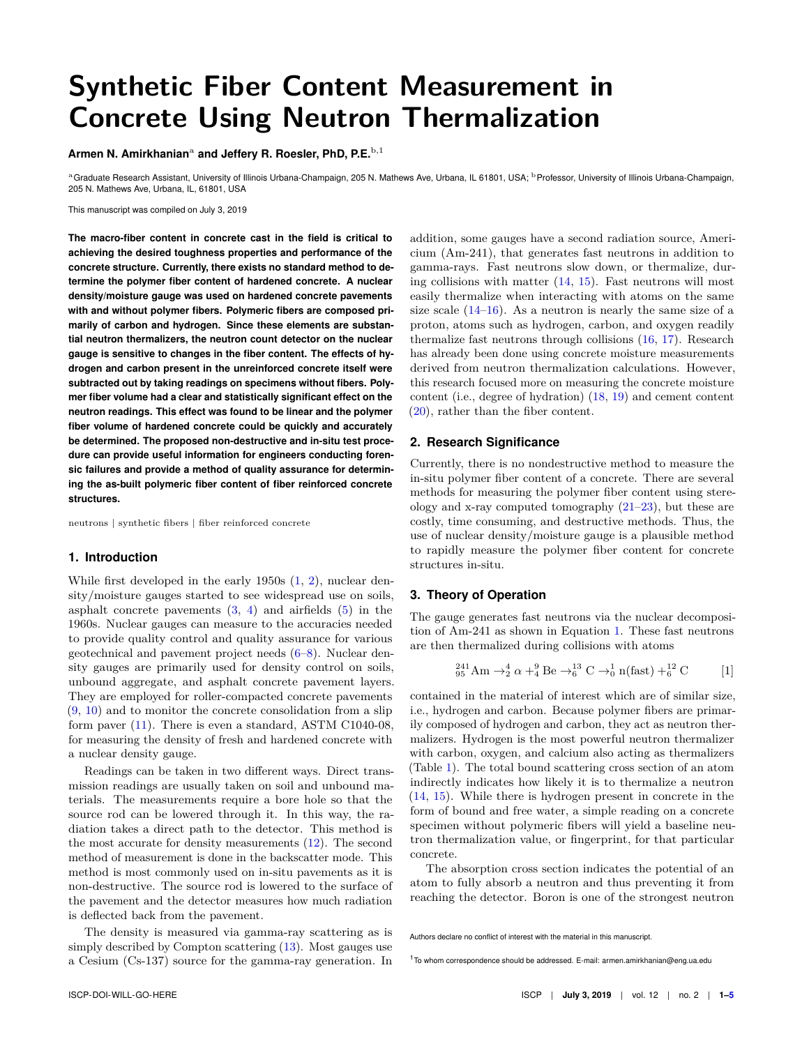# **Synthetic Fiber Content Measurement in Concrete Using Neutron Thermalization**

Armen N. Amirkhanian<sup>a</sup> and Jeffery R. Roesler, PhD, P.E.<sup>b,1</sup>

aGraduate Research Assistant, University of Illinois Urbana-Champaign, 205 N. Mathews Ave, Urbana, IL 61801, USA; <sup>b</sup> Professor, University of Illinois Urbana-Champaign, 205 N. Mathews Ave, Urbana, IL, 61801, USA

This manuscript was compiled on July 3, 2019

**The macro-fiber content in concrete cast in the field is critical to achieving the desired toughness properties and performance of the concrete structure. Currently, there exists no standard method to determine the polymer fiber content of hardened concrete. A nuclear density/moisture gauge was used on hardened concrete pavements with and without polymer fibers. Polymeric fibers are composed primarily of carbon and hydrogen. Since these elements are substantial neutron thermalizers, the neutron count detector on the nuclear gauge is sensitive to changes in the fiber content. The effects of hydrogen and carbon present in the unreinforced concrete itself were subtracted out by taking readings on specimens without fibers. Polymer fiber volume had a clear and statistically significant effect on the neutron readings. This effect was found to be linear and the polymer fiber volume of hardened concrete could be quickly and accurately be determined. The proposed non-destructive and in-situ test procedure can provide useful information for engineers conducting forensic failures and provide a method of quality assurance for determining the as-built polymeric fiber content of fiber reinforced concrete structures.**

neutrons | synthetic fibers | fiber reinforced concrete

#### **1. Introduction**

While first developed in the early 1950s  $(1, 2)$  $(1, 2)$  $(1, 2)$ , nuclear density/moisture gauges started to see widespread use on soils, asphalt concrete pavements  $(3, 4)$  $(3, 4)$  $(3, 4)$  and airfields  $(5)$  in the 1960s. Nuclear gauges can measure to the accuracies needed to provide quality control and quality assurance for various geotechnical and pavement project needs [\(6–](#page-3-5)[8\)](#page-3-6). Nuclear density gauges are primarily used for density control on soils, unbound aggregate, and asphalt concrete pavement layers. They are employed for roller-compacted concrete pavements  $(9, 10)$  $(9, 10)$  $(9, 10)$  and to monitor the concrete consolidation from a slip form paver [\(11\)](#page-3-9). There is even a standard, ASTM C1040-08, for measuring the density of fresh and hardened concrete with a nuclear density gauge.

Readings can be taken in two different ways. Direct transmission readings are usually taken on soil and unbound materials. The measurements require a bore hole so that the source rod can be lowered through it. In this way, the radiation takes a direct path to the detector. This method is the most accurate for density measurements [\(12\)](#page-3-10). The second method of measurement is done in the backscatter mode. This method is most commonly used on in-situ pavements as it is non-destructive. The source rod is lowered to the surface of the pavement and the detector measures how much radiation is deflected back from the pavement.

The density is measured via gamma-ray scattering as is simply described by Compton scattering  $(13)$ . Most gauges use a Cesium (Cs-137) source for the gamma-ray generation. In addition, some gauges have a second radiation source, Americium (Am-241), that generates fast neutrons in addition to gamma-rays. Fast neutrons slow down, or thermalize, during collisions with matter  $(14, 15)$  $(14, 15)$  $(14, 15)$ . Fast neutrons will most easily thermalize when interacting with atoms on the same size scale  $(14-16)$  $(14-16)$ . As a neutron is nearly the same size of a proton, atoms such as hydrogen, carbon, and oxygen readily thermalize fast neutrons through collisions [\(16,](#page-4-1) [17\)](#page-4-2). Research has already been done using concrete moisture measurements derived from neutron thermalization calculations. However, this research focused more on measuring the concrete moisture content (i.e., degree of hydration) [\(18,](#page-4-3) [19\)](#page-4-4) and cement content [\(20\)](#page-4-5), rather than the fiber content.

#### **2. Research Significance**

Currently, there is no nondestructive method to measure the in-situ polymer fiber content of a concrete. There are several methods for measuring the polymer fiber content using stereology and x-ray computed tomography  $(21-23)$  $(21-23)$ , but these are costly, time consuming, and destructive methods. Thus, the use of nuclear density/moisture gauge is a plausible method to rapidly measure the polymer fiber content for concrete structures in-situ.

### **3. Theory of Operation**

The gauge generates fast neutrons via the nuclear decomposition of Am-241 as shown in Equation [1.](#page-0-0) These fast neutrons are then thermalized during collisions with atoms

<span id="page-0-0"></span>
$$
{}_{95}^{241}\text{Am} \rightarrow {}_{2}^{4}\alpha + {}_{4}^{9}\text{Be} \rightarrow {}_{6}^{13}\text{C} \rightarrow {}_{0}^{1}\text{n(fast}) + {}_{6}^{12}\text{C}
$$
 [1]

contained in the material of interest which are of similar size, i.e., hydrogen and carbon. Because polymer fibers are primarily composed of hydrogen and carbon, they act as neutron thermalizers. Hydrogen is the most powerful neutron thermalizer with carbon, oxygen, and calcium also acting as thermalizers (Table [1\)](#page-1-0). The total bound scattering cross section of an atom indirectly indicates how likely it is to thermalize a neutron [\(14,](#page-3-12) [15\)](#page-4-0). While there is hydrogen present in concrete in the form of bound and free water, a simple reading on a concrete specimen without polymeric fibers will yield a baseline neutron thermalization value, or fingerprint, for that particular concrete.

The absorption cross section indicates the potential of an atom to fully absorb a neutron and thus preventing it from reaching the detector. Boron is one of the strongest neutron

Authors declare no conflict of interest with the material in this manuscript.

<sup>1</sup>To whom correspondence should be addressed. E-mail: armen.amirkhanian@eng.ua.edu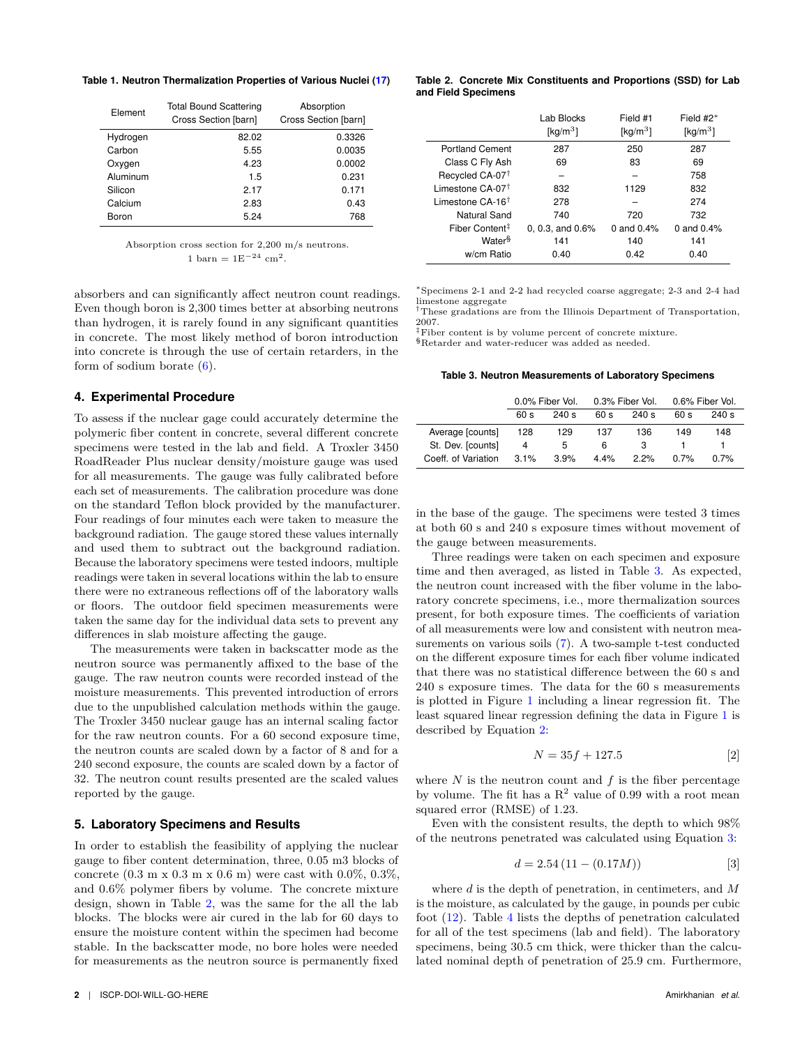<span id="page-1-0"></span>**Table 1. Neutron Thermalization Properties of Various Nuclei [\(17\)](#page-4-2)**

| Element  | <b>Total Bound Scattering</b><br>Cross Section [barn] | Absorption<br>Cross Section [barn] |
|----------|-------------------------------------------------------|------------------------------------|
| Hydrogen | 82.02                                                 | 0.3326                             |
| Carbon   | 5.55                                                  | 0.0035                             |
| Oxygen   | 4.23                                                  | 0.0002                             |
| Aluminum | 1.5                                                   | 0.231                              |
| Silicon  | 2 17                                                  | 0.171                              |
| Calcium  | 2.83                                                  | 0.43                               |
| Boron    | 5.24                                                  | 768                                |

Absorption cross section for 2,200 m/s neutrons. 1 barn =  $1E^{-24}$  cm<sup>2</sup>.

absorbers and can significantly affect neutron count readings. Even though boron is 2,300 times better at absorbing neutrons than hydrogen, it is rarely found in any significant quantities in concrete. The most likely method of boron introduction into concrete is through the use of certain retarders, in the form of sodium borate [\(6\)](#page-3-5).

#### **4. Experimental Procedure**

To assess if the nuclear gage could accurately determine the polymeric fiber content in concrete, several different concrete specimens were tested in the lab and field. A Troxler 3450 RoadReader Plus nuclear density/moisture gauge was used for all measurements. The gauge was fully calibrated before each set of measurements. The calibration procedure was done on the standard Teflon block provided by the manufacturer. Four readings of four minutes each were taken to measure the background radiation. The gauge stored these values internally and used them to subtract out the background radiation. Because the laboratory specimens were tested indoors, multiple readings were taken in several locations within the lab to ensure there were no extraneous reflections off of the laboratory walls or floors. The outdoor field specimen measurements were taken the same day for the individual data sets to prevent any differences in slab moisture affecting the gauge.

The measurements were taken in backscatter mode as the neutron source was permanently affixed to the base of the gauge. The raw neutron counts were recorded instead of the moisture measurements. This prevented introduction of errors due to the unpublished calculation methods within the gauge. The Troxler 3450 nuclear gauge has an internal scaling factor for the raw neutron counts. For a 60 second exposure time, the neutron counts are scaled down by a factor of 8 and for a 240 second exposure, the counts are scaled down by a factor of 32. The neutron count results presented are the scaled values reported by the gauge.

#### **5. Laboratory Specimens and Results**

In order to establish the feasibility of applying the nuclear gauge to fiber content determination, three, 0.05 m3 blocks of concrete  $(0.3 \text{ m x } 0.3 \text{ m x } 0.6 \text{ m})$  were cast with  $0.0\%$ ,  $0.3\%$ , and 0.6% polymer fibers by volume. The concrete mixture design, shown in Table [2,](#page-1-1) was the same for the all the lab blocks. The blocks were air cured in the lab for 60 days to ensure the moisture content within the specimen had become stable. In the backscatter mode, no bore holes were needed for measurements as the neutron source is permanently fixed

<span id="page-1-1"></span>

|                              | Lab Blocks<br>[ $\text{kg/m}^3$ ] | Field #1<br>[ $kg/m3$ ] | Field $#2^*$<br>[ $kg/m3$ ] |
|------------------------------|-----------------------------------|-------------------------|-----------------------------|
| <b>Portland Cement</b>       | 287                               | 250                     | 287                         |
| Class C Fly Ash              | 69                                | 83                      | 69                          |
| Recycled CA-07 <sup>†</sup>  |                                   |                         | 758                         |
| Limestone CA-07 <sup>+</sup> | 832                               | 1129                    | 832                         |
| Limestone $CA-16^+$          | 278                               |                         | 274                         |
| Natural Sand                 | 740                               | 720                     | 732                         |
| Fiber Content <sup>‡</sup>   | $0.0.3$ . and $0.6\%$             | 0 and $0.4%$            | 0 and $0.4%$                |
| Water <sup>§</sup>           | 141                               | 140                     | 141                         |
| w/cm Ratio                   | 0.40                              | 0.42                    | 0.40                        |

<sup>∗</sup>Specimens 2-1 and 2-2 had recycled coarse aggregate; 2-3 and 2-4 had limestone aggregate

†These gradations are from the Illinois Department of Transportation, 2007.

‡Fiber content is by volume percent of concrete mixture. §Retarder and water-reducer was added as needed.

#### <span id="page-1-2"></span>**Table 3. Neutron Measurements of Laboratory Specimens**

|                     | 0.0% Fiber Vol. |       |         | 0.3% Fiber Vol. | 0.6% Fiber Vol. |         |
|---------------------|-----------------|-------|---------|-----------------|-----------------|---------|
|                     | 60 s            | 240 s | 60 s    | 240 s           | 60 s            | 240 s   |
| Average [counts]    | 128             | 129   | 137     | 136             | 149             | 148     |
| St. Dev. [counts]   | 4               | 5     | 6       | 3               |                 |         |
| Coeff. of Variation | 3.1%            | 3.9%  | $4.4\%$ | 22%             | 0.7%            | $0.7\%$ |

in the base of the gauge. The specimens were tested 3 times at both 60 s and 240 s exposure times without movement of the gauge between measurements.

Three readings were taken on each specimen and exposure time and then averaged, as listed in Table [3.](#page-1-2) As expected, the neutron count increased with the fiber volume in the laboratory concrete specimens, i.e., more thermalization sources present, for both exposure times. The coefficients of variation of all measurements were low and consistent with neutron measurements on various soils [\(7\)](#page-3-13). A two-sample t-test conducted on the different exposure times for each fiber volume indicated that there was no statistical difference between the 60 s and 240 s exposure times. The data for the 60 s measurements is plotted in Figure [1](#page-2-0) including a linear regression fit. The least squared linear regression defining the data in Figure [1](#page-2-0) is described by Equation [2:](#page-1-3)

<span id="page-1-3"></span>
$$
N = 35f + 127.5
$$
 [2]

where  $N$  is the neutron count and  $f$  is the fiber percentage by volume. The fit has a  $R^2$  value of 0.99 with a root mean squared error (RMSE) of 1.23.

Even with the consistent results, the depth to which 98% of the neutrons penetrated was calculated using Equation [3:](#page-1-4)

<span id="page-1-4"></span>
$$
d = 2.54 \left( 11 - (0.17M) \right) \tag{3}
$$

where *d* is the depth of penetration, in centimeters, and *M* is the moisture, as calculated by the gauge, in pounds per cubic foot [\(12\)](#page-3-10). Table [4](#page-2-1) lists the depths of penetration calculated for all of the test specimens (lab and field). The laboratory specimens, being 30.5 cm thick, were thicker than the calculated nominal depth of penetration of 25.9 cm. Furthermore,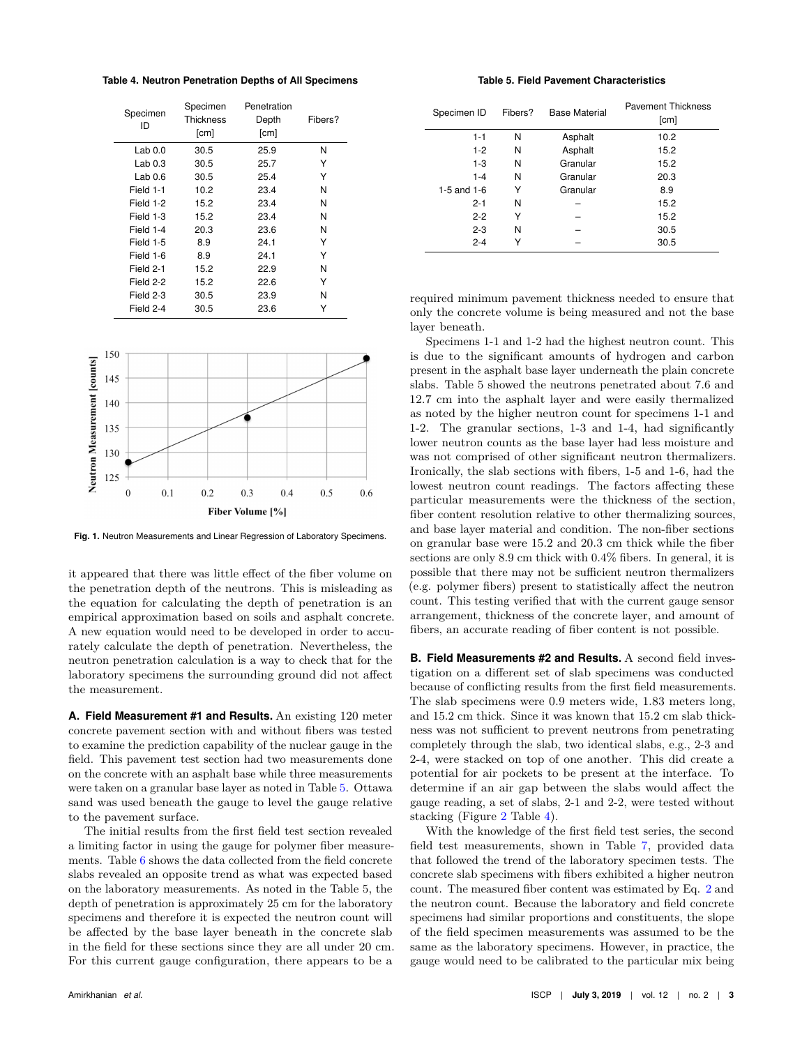<span id="page-2-1"></span>**Table 4. Neutron Penetration Depths of All Specimens**

| Specimen<br>ID     | Specimen<br>Thickness<br>[cm] | Penetration<br>Depth<br>[cm] | Fibers? |  |
|--------------------|-------------------------------|------------------------------|---------|--|
| Lab <sub>0.0</sub> | 30.5                          | 25.9                         | N       |  |
| Lab <sub>0.3</sub> | 30.5                          | 25.7                         | Y       |  |
| Lab 0.6            | 30.5                          | 25.4                         | Y       |  |
| Field 1-1          | 10.2                          | 23.4                         | Ν       |  |
| Field 1-2          | 15.2                          | 23.4                         | Ν       |  |
| Field 1-3          | 15.2                          | 23.4                         | Ν       |  |
| Field 1-4          | 20.3                          | 23.6                         | Ν       |  |
| Field 1-5          | 8.9                           | 24.1                         | Υ       |  |
| Field 1-6          | 8.9                           | 24.1                         | Υ       |  |
| Field 2-1          | 15.2                          | 22.9                         | Ν       |  |
| Field 2-2          | 15.2                          | 22.6                         | Y       |  |
| Field 2-3          | 30.5                          | 23.9                         | Ν       |  |
| Field 2-4          | 30.5                          | 23.6                         |         |  |

<span id="page-2-0"></span>

**Fig. 1.** Neutron Measurements and Linear Regression of Laboratory Specimens.

it appeared that there was little effect of the fiber volume on the penetration depth of the neutrons. This is misleading as the equation for calculating the depth of penetration is an empirical approximation based on soils and asphalt concrete. A new equation would need to be developed in order to accurately calculate the depth of penetration. Nevertheless, the neutron penetration calculation is a way to check that for the laboratory specimens the surrounding ground did not affect the measurement.

**A. Field Measurement #1 and Results.** An existing 120 meter concrete pavement section with and without fibers was tested to examine the prediction capability of the nuclear gauge in the field. This pavement test section had two measurements done on the concrete with an asphalt base while three measurements were taken on a granular base layer as noted in Table [5.](#page-2-2) Ottawa sand was used beneath the gauge to level the gauge relative to the pavement surface.

The initial results from the first field test section revealed a limiting factor in using the gauge for polymer fiber measurements. Table  $6$  shows the data collected from the field concrete slabs revealed an opposite trend as what was expected based on the laboratory measurements. As noted in the Table 5, the depth of penetration is approximately 25 cm for the laboratory specimens and therefore it is expected the neutron count will be affected by the base layer beneath in the concrete slab in the field for these sections since they are all under 20 cm. For this current gauge configuration, there appears to be a

#### **Table 5. Field Pavement Characteristics**

<span id="page-2-2"></span>

| Specimen ID   | Fibers? | <b>Base Material</b> | <b>Pavement Thickness</b><br>[cm] |
|---------------|---------|----------------------|-----------------------------------|
| $1 - 1$       | N       | Asphalt              | 10.2                              |
| $1 - 2$       | N       | Asphalt              | 15.2                              |
| $1 - 3$       | N       | Granular             | 15.2                              |
| $1 - 4$       | N       | Granular             | 20.3                              |
| 1-5 and $1-6$ | Y       | Granular             | 8.9                               |
| $2 - 1$       | N       |                      | 15.2                              |
| $2 - 2$       | Y       |                      | 15.2                              |
| $2 - 3$       | N       |                      | 30.5                              |
| $2 - 4$       | Υ       |                      | 30.5                              |

required minimum pavement thickness needed to ensure that only the concrete volume is being measured and not the base layer beneath.

Specimens 1-1 and 1-2 had the highest neutron count. This is due to the significant amounts of hydrogen and carbon present in the asphalt base layer underneath the plain concrete slabs. Table 5 showed the neutrons penetrated about 7.6 and 12.7 cm into the asphalt layer and were easily thermalized as noted by the higher neutron count for specimens 1-1 and 1-2. The granular sections, 1-3 and 1-4, had significantly lower neutron counts as the base layer had less moisture and was not comprised of other significant neutron thermalizers. Ironically, the slab sections with fibers, 1-5 and 1-6, had the lowest neutron count readings. The factors affecting these particular measurements were the thickness of the section, fiber content resolution relative to other thermalizing sources, and base layer material and condition. The non-fiber sections on granular base were 15.2 and 20.3 cm thick while the fiber sections are only 8.9 cm thick with 0.4% fibers. In general, it is possible that there may not be sufficient neutron thermalizers (e.g. polymer fibers) present to statistically affect the neutron count. This testing verified that with the current gauge sensor arrangement, thickness of the concrete layer, and amount of fibers, an accurate reading of fiber content is not possible.

**B. Field Measurements #2 and Results.** A second field investigation on a different set of slab specimens was conducted because of conflicting results from the first field measurements. The slab specimens were 0.9 meters wide, 1.83 meters long, and 15.2 cm thick. Since it was known that 15.2 cm slab thickness was not sufficient to prevent neutrons from penetrating completely through the slab, two identical slabs, e.g., 2-3 and 2-4, were stacked on top of one another. This did create a potential for air pockets to be present at the interface. To determine if an air gap between the slabs would affect the gauge reading, a set of slabs, 2-1 and 2-2, were tested without stacking (Figure [2](#page-3-15) Table [4\)](#page-2-1).

With the knowledge of the first field test series, the second field test measurements, shown in Table [7,](#page-3-16) provided data that followed the trend of the laboratory specimen tests. The concrete slab specimens with fibers exhibited a higher neutron count. The measured fiber content was estimated by Eq. [2](#page-1-3) and the neutron count. Because the laboratory and field concrete specimens had similar proportions and constituents, the slope of the field specimen measurements was assumed to be the same as the laboratory specimens. However, in practice, the gauge would need to be calibrated to the particular mix being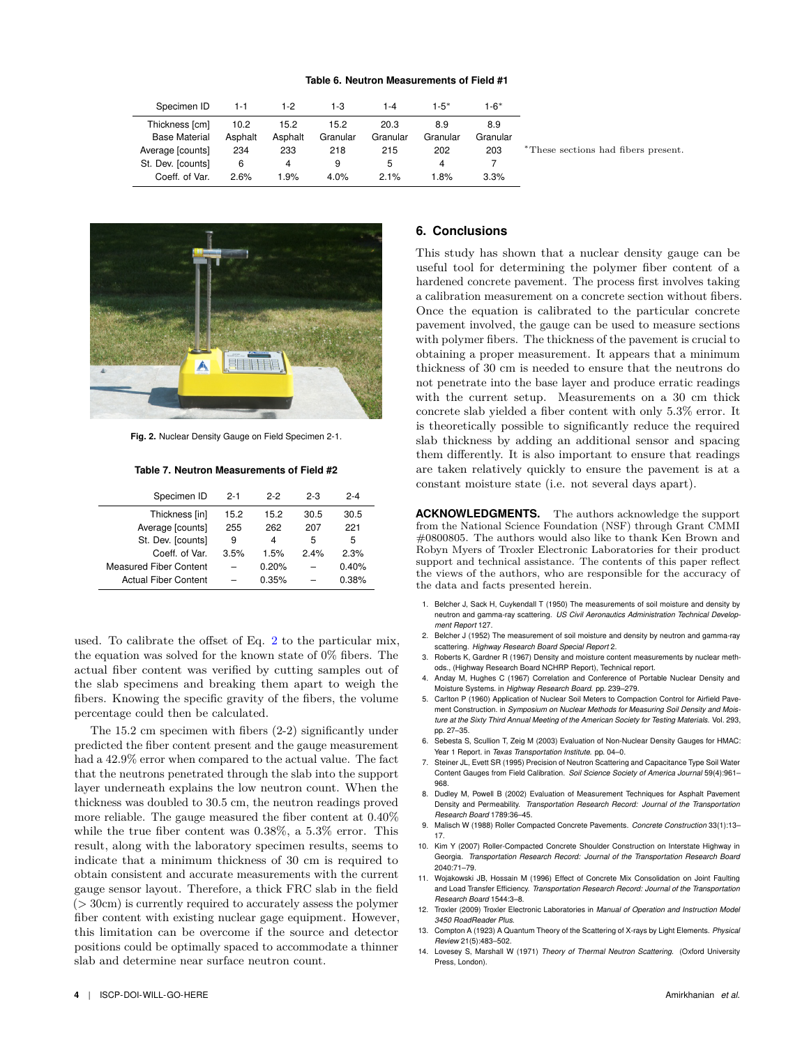#### **Table 6. Neutron Measurements of Field #1**

<span id="page-3-14"></span>

| Specimen ID          | $1 - 1$ | 1-2     | 1-3      | 1-4      | 1-5*     | 1-6*     |                                     |  |
|----------------------|---------|---------|----------|----------|----------|----------|-------------------------------------|--|
| Thickness [cm]       | 10.2    | 15.2    | 15.2     | 20.3     | 8.9      | 8.9      |                                     |  |
| <b>Base Material</b> | Asphalt | Asphalt | Granular | Granular | Granular | Granular |                                     |  |
| Average [counts]     | 234     | 233     | 218      | 215      | 202      | 203      | *These sections had fibers present. |  |
| St. Dev. [counts]    | 6       | 4       | 9        | b        | 4        |          |                                     |  |
| Coeff. of Var.       | 2.6%    | $1.9\%$ | 4.0%     | 2.1%     | 1.8%     | 3.3%     |                                     |  |
|                      |         |         |          |          |          |          |                                     |  |

<span id="page-3-15"></span>

**Fig. 2.** Nuclear Density Gauge on Field Specimen 2-1.

**Table 7. Neutron Measurements of Field #2**

<span id="page-3-16"></span>

| Specimen ID                   | $2 - 1$ | $2-2$ | $2 - 3$ | $2 - 4$ |
|-------------------------------|---------|-------|---------|---------|
| Thickness [in]                | 15.2    | 15.2  | 30.5    | 30.5    |
| Average [counts]              | 255     | 262   | 207     | 221     |
| St. Dev. [counts]             | 9       | 4     | 5       | 5       |
| Coeff of Var                  | 3.5%    | 1.5%  | 24%     | 2.3%    |
| <b>Measured Fiber Content</b> |         | 0.20% |         | 0.40%   |
| <b>Actual Fiber Content</b>   |         | 0.35% |         | 0.38%   |

used. To calibrate the offset of Eq. [2](#page-1-3) to the particular mix, the equation was solved for the known state of 0% fibers. The actual fiber content was verified by cutting samples out of the slab specimens and breaking them apart to weigh the fibers. Knowing the specific gravity of the fibers, the volume percentage could then be calculated.

The 15.2 cm specimen with fibers (2-2) significantly under predicted the fiber content present and the gauge measurement had a  $42.9\%$  error when compared to the actual value. The fact that the neutrons penetrated through the slab into the support layer underneath explains the low neutron count. When the thickness was doubled to 30.5 cm, the neutron readings proved more reliable. The gauge measured the fiber content at 0.40% while the true fiber content was 0.38%, a 5.3% error. This result, along with the laboratory specimen results, seems to indicate that a minimum thickness of 30 cm is required to obtain consistent and accurate measurements with the current gauge sensor layout. Therefore, a thick FRC slab in the field  $(> 30cm)$  is currently required to accurately assess the polymer fiber content with existing nuclear gage equipment. However, this limitation can be overcome if the source and detector positions could be optimally spaced to accommodate a thinner slab and determine near surface neutron count.

## **6. Conclusions**

This study has shown that a nuclear density gauge can be useful tool for determining the polymer fiber content of a hardened concrete pavement. The process first involves taking a calibration measurement on a concrete section without fibers. Once the equation is calibrated to the particular concrete pavement involved, the gauge can be used to measure sections with polymer fibers. The thickness of the pavement is crucial to obtaining a proper measurement. It appears that a minimum thickness of 30 cm is needed to ensure that the neutrons do not penetrate into the base layer and produce erratic readings with the current setup. Measurements on a 30 cm thick concrete slab yielded a fiber content with only 5.3% error. It is theoretically possible to significantly reduce the required slab thickness by adding an additional sensor and spacing them differently. It is also important to ensure that readings are taken relatively quickly to ensure the pavement is at a constant moisture state (i.e. not several days apart).

**ACKNOWLEDGMENTS.** The authors acknowledge the support from the National Science Foundation (NSF) through Grant CMMI #0800805. The authors would also like to thank Ken Brown and Robyn Myers of Troxler Electronic Laboratories for their product support and technical assistance. The contents of this paper reflect the views of the authors, who are responsible for the accuracy of the data and facts presented herein.

- <span id="page-3-0"></span>1. Belcher J, Sack H, Cuykendall T (1950) The measurements of soil moisture and density by neutron and gamma-ray scattering. *US Civil Aeronautics Administration Technical Development Report* 127.
- <span id="page-3-1"></span>2. Belcher J (1952) The measurement of soil moisture and density by neutron and gamma-ray scattering. *Highway Research Board Special Report* 2.
- <span id="page-3-2"></span>3. Roberts K, Gardner R (1967) Density and moisture content measurements by nuclear methods., (Highway Research Board NCHRP Report), Technical report.
- <span id="page-3-3"></span>4. Anday M, Hughes C (1967) Correlation and Conference of Portable Nuclear Density and Moisture Systems. in *Highway Research Board*. pp. 239–279.
- <span id="page-3-4"></span>5. Carlton P (1960) Application of Nuclear Soil Meters to Compaction Control for Airfield Pavement Construction. in *Symposium on Nuclear Methods for Measuring Soil Density and Moisture at the Sixty Third Annual Meeting of the American Society for Testing Materials*. Vol. 293, pp. 27–35.
- <span id="page-3-5"></span>6. Sebesta S, Scullion T, Zeig M (2003) Evaluation of Non-Nuclear Density Gauges for HMAC: Year 1 Report. in *Texas Transportation Institute*. pp. 04–0.
- <span id="page-3-13"></span>7. Steiner JL, Evett SR (1995) Precision of Neutron Scattering and Capacitance Type Soil Water Content Gauges from Field Calibration. *Soil Science Society of America Journal* 59(4):961– 968.
- <span id="page-3-6"></span>8. Dudley M, Powell B (2002) Evaluation of Measurement Techniques for Asphalt Pavement Density and Permeability. *Transportation Research Record: Journal of the Transportation Research Board* 1789:36–45.
- <span id="page-3-7"></span>9. Malisch W (1988) Roller Compacted Concrete Pavements. *Concrete Construction* 33(1):13– 17.
- <span id="page-3-8"></span>10. Kim Y (2007) Roller-Compacted Concrete Shoulder Construction on Interstate Highway in Georgia. *Transportation Research Record: Journal of the Transportation Research Board* 2040:71–79.
- <span id="page-3-9"></span>11. Wojakowski JB, Hossain M (1996) Effect of Concrete Mix Consolidation on Joint Faulting and Load Transfer Efficiency. *Transportation Research Record: Journal of the Transportation Research Board* 1544:3–8.
- <span id="page-3-10"></span>12. Troxler (2009) Troxler Electronic Laboratories in *Manual of Operation and Instruction Model 3450 RoadReader Plus*.
- <span id="page-3-11"></span>13. Compton A (1923) A Quantum Theory of the Scattering of X-rays by Light Elements. *Physical Review* 21(5):483–502.
- <span id="page-3-12"></span>14. Lovesey S, Marshall W (1971) *Theory of Thermal Neutron Scattering*. (Oxford University Press, London).